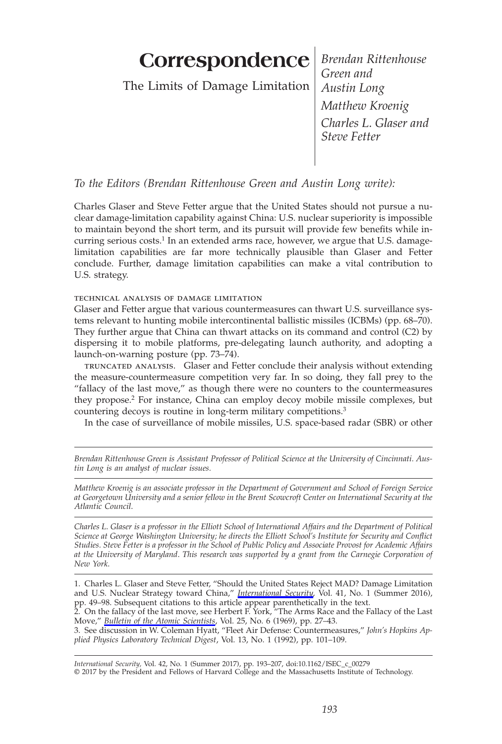# **Correspondence** *Brendan Rittenhouse*

The Limits of Damage Limitation

*Green and Austin Long Matthew Kroenig Charles L. Glaser and Steve Fetter*

*To the Editors (Brendan Rittenhouse Green and Austin Long write):*

Charles Glaser and Steve Fetter argue that the United States should not pursue a nuclear damage-limitation capability against China: U.S. nuclear superiority is impossible to maintain beyond the short term, and its pursuit will provide few benefits while incurring serious costs.<sup>1</sup> In an extended arms race, however, we argue that U.S. damagelimitation capabilities are far more technically plausible than Glaser and Fetter conclude. Further, damage limitation capabilities can make a vital contribution to U.S. strategy.

#### technical analysis of damage limitation

Glaser and Fetter argue that various countermeasures can thwart U.S. surveillance systems relevant to hunting mobile intercontinental ballistic missiles (ICBMs) (pp. 68–70). They further argue that China can thwart attacks on its command and control (C2) by dispersing it to mobile platforms, pre-delegating launch authority, and adopting a launch-on-warning posture (pp. 73–74).

truncated analysis. Glaser and Fetter conclude their analysis without extending the measure-countermeasure competition very far. In so doing, they fall prey to the "fallacy of the last move," as though there were no counters to the countermeasures they propose.2 For instance, China can employ decoy mobile missile complexes, but countering decoys is routine in long-term military competitions.3

In the case of surveillance of mobile missiles, U.S. space-based radar (SBR) or other

*Brendan Rittenhouse Green is Assistant Professor of Political Science at the University of Cincinnati. Austin Long is an analyst of nuclear issues.*

*Matthew Kroenig is an associate professor in the Department of Government and School of Foreign Service at Georgetown University and a senior fellow in the Brent Scowcroft Center on International Security at the Atlantic Council*.

*Charles L. Glaser is a professor in the Elliott Sch[ool](http://www.mitpressjournals.org/action/showLinks?doi=10.1162%2FISEC_c_00279&system=10.1162%2FISEC_a_00248&citationId=p_n_3) [of](http://www.mitpressjournals.org/action/showLinks?doi=10.1162%2FISEC_c_00279&system=10.1162%2FISEC_a_00248&citationId=p_n_3) [International](http://www.mitpressjournals.org/action/showLinks?doi=10.1162%2FISEC_c_00279&system=10.1162%2FISEC_a_00248&citationId=p_n_3) [Aff](http://www.mitpressjournals.org/action/showLinks?doi=10.1162%2FISEC_c_00279&system=10.1162%2FISEC_a_00248&citationId=p_n_3)airs and the Department of Political Science at George Washington University; he directs the Elliott School's Institute for Security and Conflict Studies. [Steve Fetter is a professor in the S](http://www.mitpressjournals.org/action/showLinks?doi=10.1162%2FISEC_c_00279&crossref=10.1080%2F00963402.1969.11455235&citationId=p_n_6)chool of Public Policy and Associate Provost for Academic Affairs at the University of Maryland*. *This research was supported by a grant from the Carnegie Corporation of New York*.

1. Charles L. Glaser and Steve Fetter, "Should the United States Reject MAD? Damage Limitation and U.S. Nuclear Strategy toward China," *International Security*, Vol. 41, No. 1 (Summer 2016), pp. 49–98. Subsequent citations to this article appear parenthetically in the text.

2. On the fallacy of the last move, see Herbert F. York, "The Arms Race and the Fallacy of the Last Move," *Bulletin of the Atomic Scientists*, Vol. 25, No. 6 (1969), pp. 27–43.

3. See discussion in W. Coleman Hyatt, "Fleet Air Defense: Countermeasures," *John's Hopkins Applied Physics Laboratory Technical Digest*, Vol. 13, No. 1 (1992), pp. 101–109.

*International Security,* Vol. 42, No. 1 (Summer 2017), pp. 193–207, doi:10.1162/ISEC\_c\_00279 © 2017 by the President and Fellows of Harvard College and the Massachusetts Institute of Technology.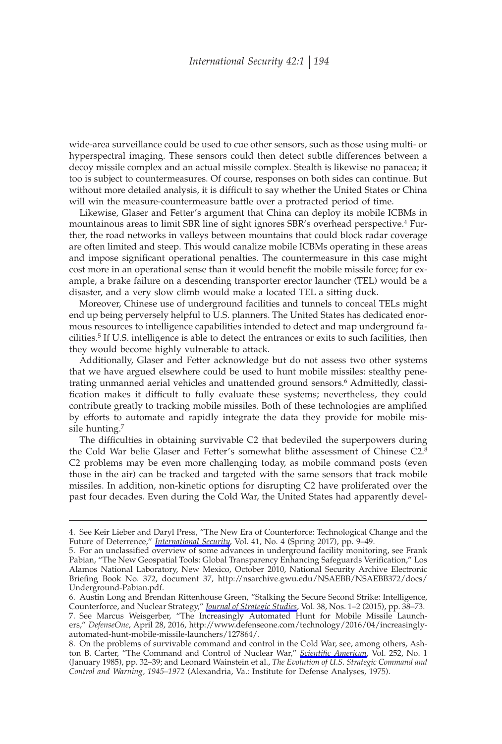wide-area surveillance could be used to cue other sensors, such as those using multi- or hyperspectral imaging. These sensors could then detect subtle differences between a decoy missile complex and an actual missile complex. Stealth is likewise no panacea; it too is subject to countermeasures. Of course, responses on both sides can continue. But without more detailed analysis, it is difficult to say whether the United States or China will win the measure-countermeasure battle over a protracted period of time.

Likewise, Glaser and Fetter's argument that China can deploy its mobile ICBMs in mountainous areas to limit SBR line of sight ignores SBR's overhead perspective.4 Further, the road networks in valleys between mountains that could block radar coverage are often limited and steep. This would canalize mobile ICBMs operating in these areas and impose significant operational penalties. The countermeasure in this case might cost more in an operational sense than it would benefit the mobile missile force; for example, a brake failure on a descending transporter erector launcher (TEL) would be a disaster, and a very slow climb would make a located TEL a sitting duck.

Moreover, Chinese use of underground facilities and tunnels to conceal TELs might end up being perversely helpful to U.S. planners. The United States has dedicated enormous resources to intelligence capabilities intended to detect and map underground facilities.5 If U.S. intelligence is able to detect the entrances or exits to such facilities, then they would become highly vulnerable to attack.

Additionally, Glaser and Fetter acknowledge but do not assess two other systems that we have argued elsewhere could be used to hunt mobile missiles: stealthy penetrating unmanned aerial vehicles and unattended ground sensors.6 Admittedly, classification makes it difficult to fully evaluate these systems; nevertheless, they could contribute greatly to tracking mobile missiles. Both of these technologies are amplified by efforts to automate and rapidly integrate the data they provide for mobile missile hunting.7

The difficulties in obtaining survivable C2 that bedeviled the superpowers during the Cold War belie Glaser and Fetter's somewhat blithe assessment of Chinese C2.<sup>8</sup> C2 problems may b[e even more challe](http://www.mitpressjournals.org/action/showLinks?doi=10.1162%2FISEC_c_00279&system=10.1162%2FISEC_a_00273&citationId=p_n_15)nging today, as mobile command posts (even those in the air) can be tracked and targeted with the same sensors that track mobile missiles. In addition, non-kinetic options for disrupting C2 have proliferated over the past four decades. Even during the Cold War, the United States had apparently devel-

<sup>4.</sup> See Keir Lieber and Daryl Press, "[The New Era of Counterfo](http://www.mitpressjournals.org/action/showLinks?doi=10.1162%2FISEC_c_00279&crossref=10.1080%2F01402390.2014.958150&citationId=p_n_19)rce: Technological Change and the Future of Deterrence," *International Security*, Vol. 41, No. 4 (Spring 2017), pp. 9–49.

<sup>5.</sup> For an unclassified overview of some advances in underground facility monitoring, see Frank Pabian, "The New Geospatial Tools: Global Transparency Enhancing Safeguards Verification," Los Alamos National Laboratory, New Mexico, October 2010, National Security Archive Electronic Briefing Book No. 372, document 37, http://nsarchive.gwu.[edu/NSAEBB/NS](http://www.mitpressjournals.org/action/showLinks?doi=10.1162%2FISEC_c_00279&crossref=10.1038%2Fscientificamerican0185-32&citationId=p_n_25)AEBB372/docs/ Underground-Pabian.pdf.

<sup>6.</sup> Austin Long and Brendan Rittenhouse Green, "Stalking the Secure Second Strike: Intelligence, Counterforce, and Nuclear Strategy," *Journal of Strategic Studies*, Vol. 38, Nos. 1–2 (2015), pp. 38–73. 7. See Marcus Weisgerber, "The Increasingly Automated Hunt for Mobile Missile Launchers," *DefenseOne*, April 28, 2016, http://www.defenseone.com/technology/2016/04/increasinglyautomated-hunt-mobile-missile-launchers/127864/.

<sup>8.</sup> On the problems of survivable command and control in the Cold War, see, among others, Ashton B. Carter, "The Command and Control of Nuclear War," **Scientific American**, Vol. 252, No. 1 (January 1985), pp. 32–39; and Leonard Wainstein et al., *The Evolution of U.S. Strategic Command and Control and Warning, 1945–1972* (Alexandria, Va.: Institute for Defense Analyses, 1975).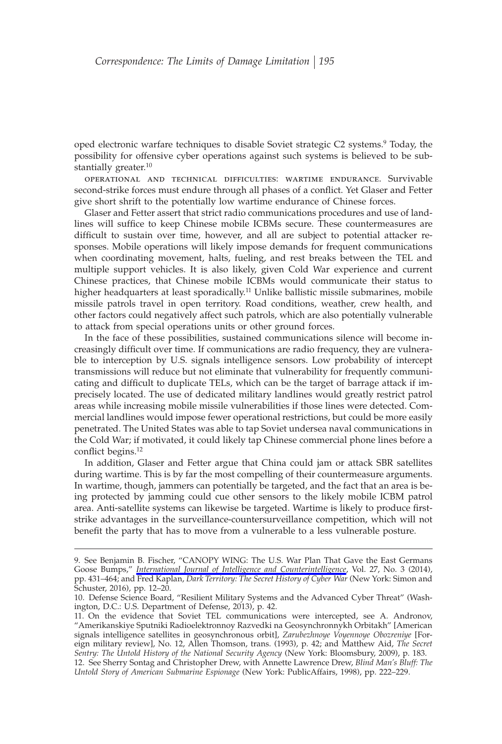oped electronic warfare techniques to disable Soviet strategic C2 systems.9 Today, the possibility for offensive cyber operations against such systems is believed to be substantially greater.<sup>10</sup>

operational and technical difªculties: wartime endurance. Survivable second-strike forces must endure through all phases of a conflict. Yet Glaser and Fetter give short shrift to the potentially low wartime endurance of Chinese forces.

Glaser and Fetter assert that strict radio communications procedures and use of landlines will suffice to keep Chinese mobile ICBMs secure. These countermeasures are difficult to sustain over time, however, and all are subject to potential attacker responses. Mobile operations will likely impose demands for frequent communications when coordinating movement, halts, fueling, and rest breaks between the TEL and multiple support vehicles. It is also likely, given Cold War experience and current Chinese practices, that Chinese mobile ICBMs would communicate their status to higher headquarters at least sporadically.<sup>11</sup> Unlike ballistic missile submarines, mobile missile patrols travel in open territory. Road conditions, weather, crew health, and other factors could negatively affect such patrols, which are also potentially vulnerable to attack from special operations units or other ground forces.

In the face of these possibilities, sustained communications silence will become increasingly difficult over time. If communications are radio frequency, they are vulnerable to interception by U.S. signals intelligence sensors. Low probability of intercept transmissions will reduce but not eliminate that vulnerability for frequently communicating and difficult to duplicate TELs, which can be the target of barrage attack if imprecisely located. The use of dedicated military landlines would greatly restrict patrol areas while increasing mobile missile vulnerabilities if those lines were detected. Commercial landlines would impose fewer operational restrictions, but could be more easily penetrated. The United States was able to tap Soviet undersea naval communications in the Cold War; if motivated, it could likely tap Chinese commercial phone lines before a conflict begins.<sup>12</sup>

In addition, Glaser and Fetter argue that China could jam or attack SBR satellites during wartime. This is by far the most compelling of their countermeasure arguments. In wartime, though, jammers can potentially be targeted, and the fact that an area is being protected [by jamming could cue other sensors to the likely](http://www.mitpressjournals.org/action/showLinks?doi=10.1162%2FISEC_c_00279&crossref=10.1080%2F08850607.2014.900290&citationId=p_n_28) mobile ICBM patrol area. Anti-satellite systems can likewise be targeted. Wartime is likely to produce firststrike advantages in the surveillance-countersurveillance competition, which will not benefit the party that has to move from a vulnerable to a less vulnerable posture.

<sup>9.</sup> See Benjamin B. Fischer, "CANOPY WING: The U.S. War Plan That Gave the East Germans Goose Bumps," *International Journal of Intelligence and Counterintelligence*, Vol. 27, No. 3 (2014), pp. 431–464; and Fred Kaplan, *Dark Territory: The Secret History of Cyber War* (New York: Simon and Schuster, 2016), pp. 12–20.

<sup>10.</sup> Defense Science Board, "Resilient Military Systems and the Advanced Cyber Threat" (Washington, D.C.: U.S. Department of Defense, 2013), p. 42.

<sup>11.</sup> On the evidence that Soviet TEL communications were intercepted, see A. Andronov, "Amerikanskiye Sputniki Radioelektronnoy Razvedki na Geosynchronnykh Orbitakh" [American signals intelligence satellites in geosynchronous orbit], *Zarubezhnoye Voyennoye Obozreniye* [Foreign military review], No. 12, Allen Thomson, trans. (1993), p. 42; and Matthew Aid, *The Secret Sentry: The Untold History of the National Security Agency* (New York: Bloomsbury, 2009), p. 183. 12. See Sherry Sontag and Christopher Drew, with Annette Lawrence Drew, *Blind Man's Bluff: The*

*Untold Story of American Submarine Espionage* (New York: PublicAffairs, 1998), pp. 222–229.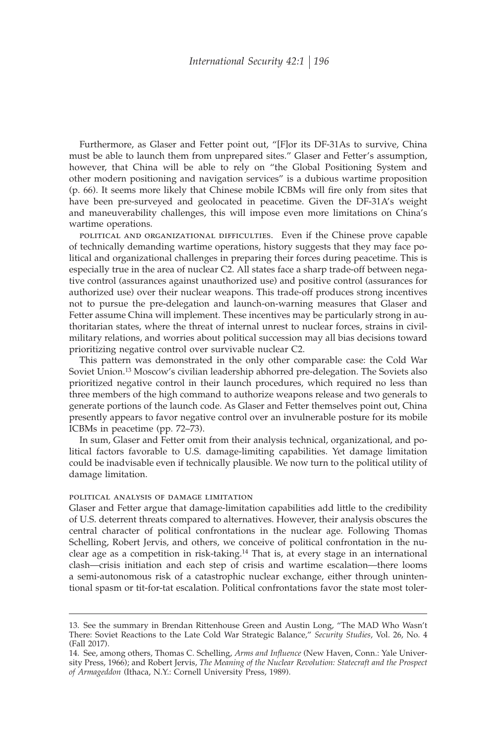Furthermore, as Glaser and Fetter point out, "[F]or its DF-31As to survive, China must be able to launch them from unprepared sites." Glaser and Fetter's assumption, however, that China will be able to rely on "the Global Positioning System and other modern positioning and navigation services" is a dubious wartime proposition (p. 66). It seems more likely that Chinese mobile ICBMs will fire only from sites that have been pre-surveyed and geolocated in peacetime. Given the DF-31A's weight and maneuverability challenges, this will impose even more limitations on China's wartime operations.

political and organizational difficulties. Even if the Chinese prove capable of technically demanding wartime operations, history suggests that they may face political and organizational challenges in preparing their forces during peacetime. This is especially true in the area of nuclear C2. All states face a sharp trade-off between negative control (assurances against unauthorized use) and positive control (assurances for authorized use) over their nuclear weapons. This trade-off produces strong incentives not to pursue the pre-delegation and launch-on-warning measures that Glaser and Fetter assume China will implement. These incentives may be particularly strong in authoritarian states, where the threat of internal unrest to nuclear forces, strains in civilmilitary relations, and worries about political succession may all bias decisions toward prioritizing negative control over survivable nuclear C2.

This pattern was demonstrated in the only other comparable case: the Cold War Soviet Union.13 Moscow's civilian leadership abhorred pre-delegation. The Soviets also prioritized negative control in their launch procedures, which required no less than three members of the high command to authorize weapons release and two generals to generate portions of the launch code. As Glaser and Fetter themselves point out, China presently appears to favor negative control over an invulnerable posture for its mobile ICBMs in peacetime (pp. 72–73).

In sum, Glaser and Fetter omit from their analysis technical, organizational, and political factors favorable to U.S. damage-limiting capabilities. Yet damage limitation could be inadvisable even if technically plausible. We now turn to the political utility of damage limitation.

## political analysis of damage limitation

Glaser and Fetter argue that damage-limitation capabilities add little to the credibility of U.S. deterrent threats compared to alternatives. However, their analysis obscures the central character of political confrontations in the nuclear age. Following Thomas Schelling, Robert Jervis, and others, we conceive of political confrontation in the nuclear age as a competition in risk-taking.<sup>14</sup> That is, at every stage in an international clash—crisis initiation and each step of crisis and wartime escalation—there looms a semi-autonomous risk of a catastrophic nuclear exchange, either through unintentional spasm or tit-for-tat escalation. Political confrontations favor the state most toler-

<sup>13.</sup> See the summary in Brendan Rittenhouse Green and Austin Long, "The MAD Who Wasn't There: Soviet Reactions to the Late Cold War Strategic Balance," *Security Studies*, Vol. 26, No. 4 (Fall 2017).

<sup>14.</sup> See, among others, Thomas C. Schelling, *Arms and Influence* (New Haven, Conn.: Yale University Press, 1966); and Robert Jervis, *The Meaning of the Nuclear Revolution: Statecraft and the Prospect of Armageddon* (Ithaca, N.Y.: Cornell University Press, 1989).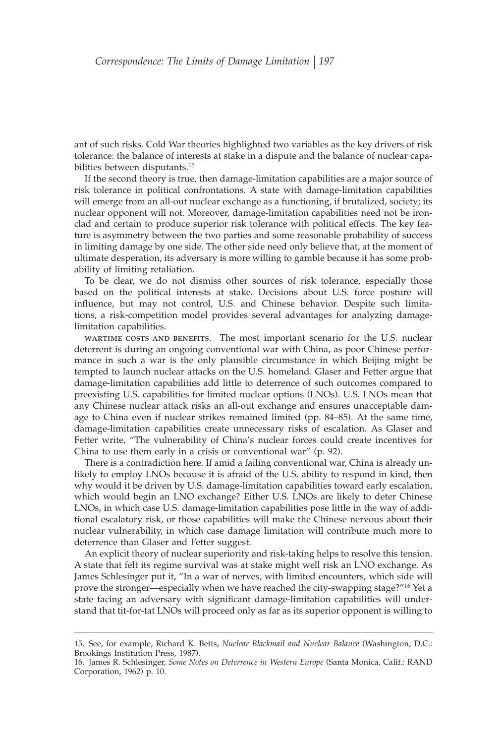ant of such risks. Cold War theories highlighted two variables as the key drivers of risk tolerance: the balance of interests at stake in a dispute and the balance of nuclear capabilities between disputants.15

If the second theory is true, then damage-limitation capabilities are a major source of risk tolerance in political confrontations. A state with damage-limitation capabilities will emerge from an all-out nuclear exchange as a functioning, if brutalized, society; its nuclear opponent will not. Moreover, damage-limitation capabilities need not be ironclad and certain to produce superior risk tolerance with political effects. The key feature is asymmetry between the two parties and some reasonable probability of success in limiting damage by one side. The other side need only believe that, at the moment of ultimate desperation, its adversary is more willing to gamble because it has some probability of limiting retaliation.

To be clear, we do not dismiss other sources of risk tolerance, especially those based on the political interests at stake. Decisions about U.S. force posture will influence, but may not control, U.S. and Chinese behavior. Despite such limitations, a risk-competition model provides several advantages for analyzing damagelimitation capabilities.

WARTIME COSTS AND BENEFITS. The most important scenario for the U.S. nuclear deterrent is during an ongoing conventional war with China, as poor Chinese performance in such a war is the only plausible circumstance in which Beijing might be tempted to launch nuclear attacks on the U.S. homeland. Glaser and Fetter argue that damage-limitation capabilities add little to deterrence of such outcomes compared to preexisting U.S. capabilities for limited nuclear options (LNOs). U.S. LNOs mean that any Chinese nuclear attack risks an all-out exchange and ensures unacceptable damage to China even if nuclear strikes remained limited (pp. 84–85). At the same time, damage-limitation capabilities create unnecessary risks of escalation. As Glaser and Fetter write, "The vulnerability of China's nuclear forces could create incentives for China to use them early in a crisis or conventional war" (p. 92).

There is a contradiction here. If amid a failing conventional war, China is already unlikely to employ LNOs because it is afraid of the U.S. ability to respond in kind, then why would it be driven by U.S. damage-limitation capabilities toward early escalation, which would begin an LNO exchange? Either U.S. LNOs are likely to deter Chinese LNOs, in which case U.S. damage-limitation capabilities pose little in the way of additional escalatory risk, or those capabilities will make the Chinese nervous about their nuclear vulnerability, in which case damage limitation will contribute much more to deterrence than Glaser and Fetter suggest.

An explicit theory of nuclear superiority and risk-taking helps to resolve this tension. A state that felt its regime survival was at stake might well risk an LNO exchange. As James Schlesinger put it, "In a war of nerves, with limited encounters, which side will prove the stronger—especially when we have reached the city-swapping stage?"16 Yet a state facing an adversary with significant damage-limitation capabilities will understand that tit-for-tat LNOs will proceed only as far as its superior opponent is willing to

<sup>15.</sup> See, for example, Richard K. Betts, *Nuclear Blackmail and Nuclear Balance* (Washington, D.C.: Brookings Institution Press, 1987).

<sup>16.</sup> James R. Schlesinger, *Some Notes on Deterrence in Western Europe* (Santa Monica, Calif.: RAND Corporation, 1962) p. 10.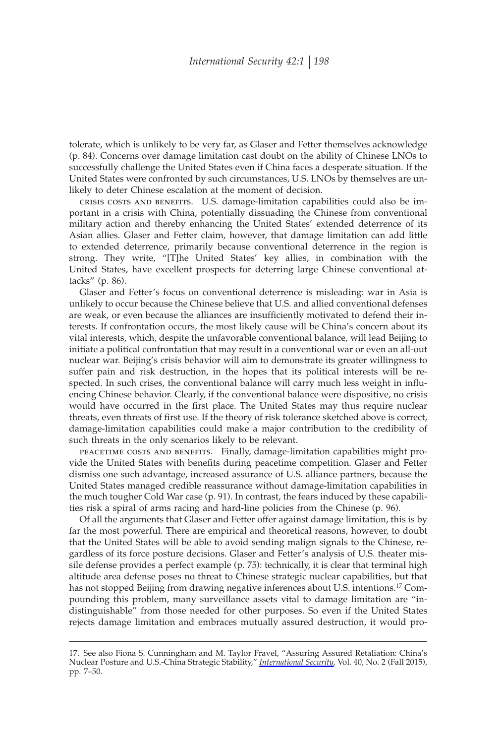tolerate, which is unlikely to be very far, as Glaser and Fetter themselves acknowledge (p. 84). Concerns over damage limitation cast doubt on the ability of Chinese LNOs to successfully challenge the United States even if China faces a desperate situation. If the United States were confronted by such circumstances, U.S. LNOs by themselves are unlikely to deter Chinese escalation at the moment of decision.

crisis costs and beneerts. U.S. damage-limitation capabilities could also be important in a crisis with China, potentially dissuading the Chinese from conventional military action and thereby enhancing the United States' extended deterrence of its Asian allies. Glaser and Fetter claim, however, that damage limitation can add little to extended deterrence, primarily because conventional deterrence in the region is strong. They write, "[T]he United States' key allies, in combination with the United States, have excellent prospects for deterring large Chinese conventional attacks" (p. 86).

Glaser and Fetter's focus on conventional deterrence is misleading: war in Asia is unlikely to occur because the Chinese believe that U.S. and allied conventional defenses are weak, or even because the alliances are insufficiently motivated to defend their interests. If confrontation occurs, the most likely cause will be China's concern about its vital interests, which, despite the unfavorable conventional balance, will lead Beijing to initiate a political confrontation that may result in a conventional war or even an all-out nuclear war. Beijing's crisis behavior will aim to demonstrate its greater willingness to suffer pain and risk destruction, in the hopes that its political interests will be respected. In such crises, the conventional balance will carry much less weight in influencing Chinese behavior. Clearly, if the conventional balance were dispositive, no crisis would have occurred in the first place. The United States may thus require nuclear threats, even threats of first use. If the theory of risk tolerance sketched above is correct, damage-limitation capabilities could make a major contribution to the credibility of such threats in the only scenarios likely to be relevant.

peacetime costs and benefits. Finally, damage-limitation capabilities might provide the United States with benefits during peacetime competition. Glaser and Fetter dismiss one such advantage, increased assurance of U.S. alliance partners, because the United States managed credible reassurance without damage-limitation capabilities in the much tougher Cold War case (p. 91). In contrast, the fears induced by these capabilities risk a spiral of arms racing and hard-line policies from the Chinese (p. 96).

Of all the arguments that Glaser and Fetter offer against damage limitation, this is by far the most powerful. There are empirical and theoretical reasons, however, to doubt that the United States will be able to avoid sending malign signals to the Chinese, regardless of its force posture decisions. Glaser and Fetter's analysis of U.S. theater missile defense provides a perfect example (p. 75): technically, it is clear that terminal high altitude area defense poses no threat to Chinese strategic nuclear capabilities, but that has not stopped Beijing from drawing negativ[e inferences about U](http://www.mitpressjournals.org/action/showLinks?doi=10.1162%2FISEC_c_00279&system=10.1162%2FISEC_a_00215&citationId=p_n_46).S. intentions.<sup>17</sup> Compounding this problem, many surveillance assets vital to damage limitation are "indistinguishable" from those needed for other purposes. So even if the United States rejects damage limitation and embraces mutually assured destruction, it would pro-

<sup>17.</sup> See also Fiona S. Cunningham and M. Taylor Fravel, "Assuring Assured Retaliation: China's Nuclear Posture and U.S.-China Strategic Stability," *International Security*, Vol. 40, No. 2 (Fall 2015), pp. 7–50.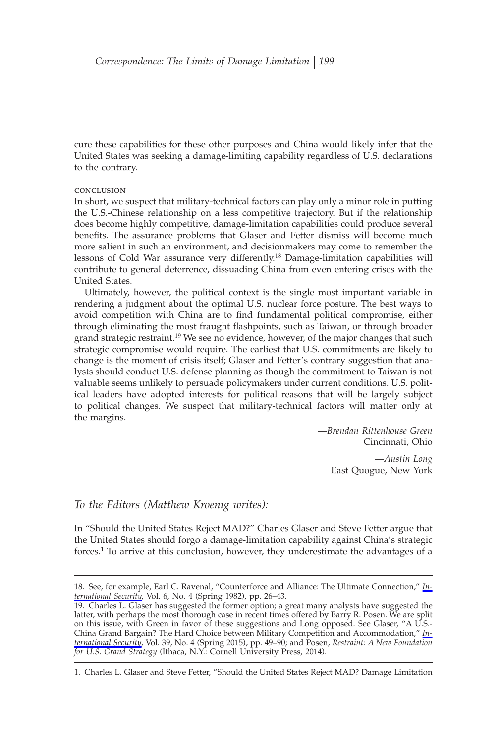cure these capabilities for these other purposes and China would likely infer that the United States was seeking a damage-limiting capability regardless of U.S. declarations to the contrary.

#### conclusion

In short, we suspect that military-technical factors can play only a minor role in putting the U.S.-Chinese relationship on a less competitive trajectory. But if the relationship does become highly competitive, damage-limitation capabilities could produce several benefits. The assurance problems that Glaser and Fetter dismiss will become much more salient in such an environment, and decisionmakers may come to remember the lessons of Cold War assurance very differently.18 Damage-limitation capabilities will contribute to general deterrence, dissuading China from even entering crises with the United States.

Ultimately, however, the political context is the single most important variable in rendering a judgment about the optimal U.S. nuclear force posture. The best ways to avoid competition with China are to find fundamental political compromise, either through eliminating the most fraught flashpoints, such as Taiwan, or through broader grand strategic restraint.19 We see no evidence, however, of the major changes that such strategic compromise would require. The earliest that U.S. commitments are likely to change is the moment of crisis itself; Glaser and Fetter's contrary suggestion that analysts should conduct U.S. defense planning as though the commitment to Taiwan is not valuable seems unlikely to persuade policymakers under current conditions. U.S. political leaders have adopted interests for political reasons that will be largely subject to political changes. We suspect that military-technical factors will matter only at the margins.

> —*Brendan Rittenhouse Green* Cincinnati, Ohio

> > —*Austin Long* East Quogue, New York

*To the Editors (Matthew Kroenig writes):*

[In](http://www.mitpressjournals.org/action/showLinks?doi=10.1162%2FISEC_c_00279&crossref=10.2307%2F2538676&citationId=p_n_50) ["Should](http://www.mitpressjournals.org/action/showLinks?doi=10.1162%2FISEC_c_00279&crossref=10.2307%2F2538676&citationId=p_n_50) [the](http://www.mitpressjournals.org/action/showLinks?doi=10.1162%2FISEC_c_00279&crossref=10.2307%2F2538676&citationId=p_n_50) [U](http://www.mitpressjournals.org/action/showLinks?doi=10.1162%2FISEC_c_00279&crossref=10.2307%2F2538676&citationId=p_n_50)nited States Reject MAD?" Charles Glaser and Steve Fetter argue that the United States should forgo a damage-limitation capability against China's strategic forces.1 To arrive at this conclusion, however, they underestimate the advantages o[f a](http://www.mitpressjournals.org/action/showLinks?doi=10.1162%2FISEC_c_00279&system=10.1162%2FISEC_a_00199&citationId=p_n_53)

<sup>18.</sup> See, for example, Earl C. Ravenal, "Counterforce and Alliance: The Ultimate Connection," *International Security*, Vol. 6, No. 4 (Spring 1982), pp. 26–43.

<sup>19.</sup> Charles L. Glaser has suggested the former option; a great many analysts have suggested the latter, with perhaps the most thorough case in recent times offered by Barry R. Posen. We are split on this issue, with Green in favor of these suggestions and Long opposed. See Glaser, "A U.S.- China Grand Bargain? The Hard Choice between Military Competition and Accommodation," *International Security*, Vol. 39, No. 4 (Spring 2015), pp. 49–90; and Posen, *Restraint: A New Foundation for U.S. Grand Strategy* (Ithaca, N.Y.: Cornell University Press, 2014).

<sup>1.</sup> Charles L. Glaser and Steve Fetter, "Should the United States Reject MAD? Damage Limitation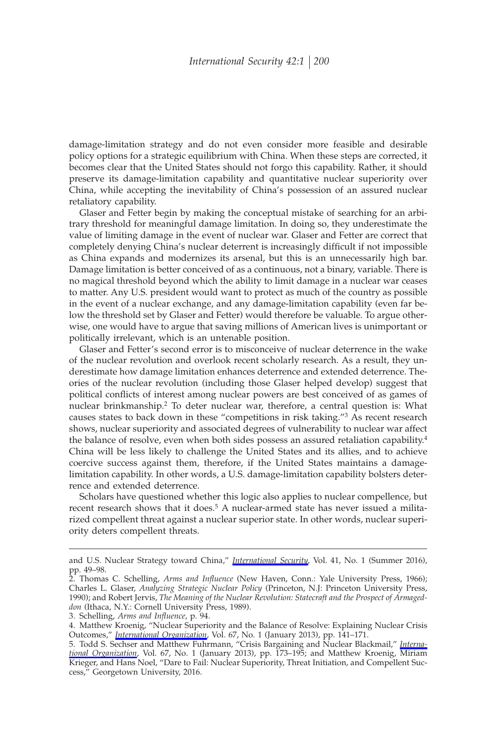damage-limitation strategy and do not even consider more feasible and desirable policy options for a strategic equilibrium with China. When these steps are corrected, it becomes clear that the United States should not forgo this capability. Rather, it should preserve its damage-limitation capability and quantitative nuclear superiority over China, while accepting the inevitability of China's possession of an assured nuclear retaliatory capability.

Glaser and Fetter begin by making the conceptual mistake of searching for an arbitrary threshold for meaningful damage limitation. In doing so, they underestimate the value of limiting damage in the event of nuclear war. Glaser and Fetter are correct that completely denying China's nuclear deterrent is increasingly difficult if not impossible as China expands and modernizes its arsenal, but this is an unnecessarily high bar. Damage limitation is better conceived of as a continuous, not a binary, variable. There is no magical threshold beyond which the ability to limit damage in a nuclear war ceases to matter. Any U.S. president would want to protect as much of the country as possible in the event of a nuclear exchange, and any damage-limitation capability (even far below the threshold set by Glaser and Fetter) would therefore be valuable. To argue otherwise, one would have to argue that saving millions of American lives is unimportant or politically irrelevant, which is an untenable position.

Glaser and Fetter's second error is to misconceive of nuclear deterrence in the wake of the nuclear revolution and overlook recent scholarly research. As a result, they underestimate how damage limitation enhances deterrence and extended deterrence. Theories of the nuclear revolution (including those Glaser helped develop) suggest that political conflicts of interest among nuclear powers are best conceived of as games of nuclear brinkmanship.<sup>2</sup> To deter nuclear war, therefore, a central question is: What causes states to back down in these "competitions in risk taking."3 As recent research shows, nuclear superiority and associated degrees of vulnerability to nuclear war affect the balance of resolve, even when both sides possess an assured retaliation capability.<sup>4</sup> China will be less likely to challenge the United States and its allies, and to achieve coercive success against them, therefore, if the United States maintains a damagelimitation capability. In other words, a U.S. damage-limitation capability bolsters deterrence and extended deterrence.

Scholars have questioned whether this logic also applies to nuclear compellence, but recent research shows that it does.<sup>5</sup> A nuclear-armed state has never issued a militarized compellent threat against a nuclear superior state. In other words, nuclear superiority deters compellent threats.

and U.S. N[uclear Strategy toward C](http://www.mitpressjournals.org/action/showLinks?doi=10.1162%2FISEC_c_00279&crossref=10.1017%2FS0020818312000367&citationId=p_n_60)hina," *International Security*, Vol. 41, No. 1 (Summe[r 2016\),](http://www.mitpressjournals.org/action/showLinks?doi=10.1162%2FISEC_c_00279&crossref=10.1017%2FS0020818312000392&citationId=p_n_63) pp. 49–98.

[<sup>2.</sup> Thomas C. Sche](http://www.mitpressjournals.org/action/showLinks?doi=10.1162%2FISEC_c_00279&crossref=10.1017%2FS0020818312000392&citationId=p_n_63)lling, *Arms and Influence* (New Haven, Conn.: Yale University Press, 1966); Charles L. Glaser, *Analyzing Strategic Nuclear Policy* (Princeton, N.J: Princeton University Press, 1990); and Robert Jervis, *The Meaning of the Nuclear Revolution: Statecraft and the Prospect of Armageddon* (Ithaca, N.Y.: Cornell University Press, 1989).

<sup>3.</sup> Schelling, Arms and Influence, p. 94.

<sup>4.</sup> Matthew Kroenig, "Nuclear Superiority and the Balance of Resolve: Explaining Nuclear Crisis Outcomes," *International Organization*, Vol. 67, No. 1 (January 2013), pp. 141–171.

<sup>5.</sup> Todd S. Sechser and Matthew Fuhrmann, "Crisis Bargaining and Nuclear Blackmail," *International Organization*, Vol. 67, No. 1 (January 2013), pp. 173–195; and Matthew Kroenig, Miriam Krieger, and Hans Noel, "Dare to Fail: Nuclear Superiority, Threat Initiation, and Compellent Success," Georgetown University, 2016.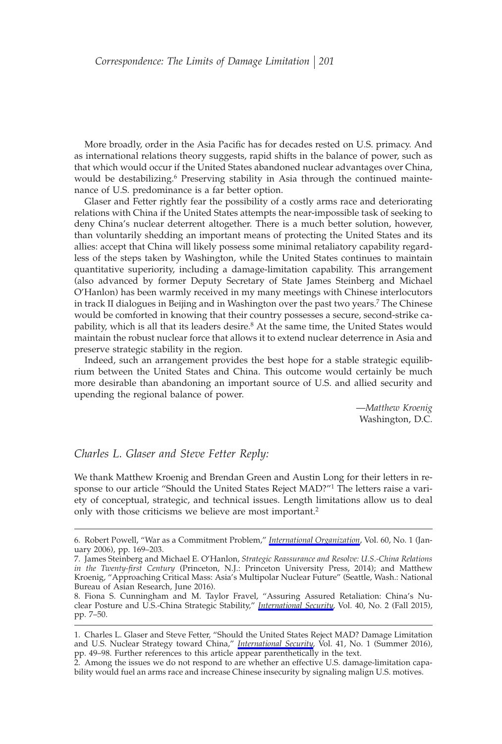More broadly, order in the Asia Pacific has for decades rested on U.S. primacy. And as international relations theory suggests, rapid shifts in the balance of power, such as that which would occur if the United States abandoned nuclear advantages over China, would be destabilizing.<sup>6</sup> Preserving stability in Asia through the continued maintenance of U.S. predominance is a far better option.

Glaser and Fetter rightly fear the possibility of a costly arms race and deteriorating relations with China if the United States attempts the near-impossible task of seeking to deny China's nuclear deterrent altogether. There is a much better solution, however, than voluntarily shedding an important means of protecting the United States and its allies: accept that China will likely possess some minimal retaliatory capability regardless of the steps taken by Washington, while the United States continues to maintain quantitative superiority, including a damage-limitation capability. This arrangement (also advanced by former Deputy Secretary of State James Steinberg and Michael O'Hanlon) has been warmly received in my many meetings with Chinese interlocutors in track II dialogues in Beijing and in Washington over the past two years.<sup>7</sup> The Chinese would be comforted in knowing that their country possesses a secure, second-strike capability, which is all that its leaders desire.8 At the same time, the United States would maintain the robust nuclear force that allows it to extend nuclear deterrence in Asia and preserve strategic stability in the region.

Indeed, such an arrangement provides the best hope for a stable strategic equilibrium between the United States and China. This outcome would certainly be much more desirable than abandoning an important source of U.S. and allied security and upending the regional balance of power.

> —*Matthew Kroenig* Washington, D.C.

# *Charles L. Glaser and Steve Fetter Reply:*

We thank Matthew Kroenig and Brendan Green and Austin Long for their letters in response to our article "Should the United States Reject MAD?"1 The letters raise a variety of conceptual, strategic, and technical issues. Length limitations allow us to deal only with those criticisms we believe are most important.2

<sup>6.</sup> Robert Powell, "War as a Commitment Problem," *International Organization*, Vol. 60, No. 1 (January 2006), pp. 169–203.

<sup>7.</sup> James Steinberg and Michael E. O'Hanlon, *Strategic Reassurance and Resolve: U.S.-China Relations in the Twenty-first Century* (Princeton, N.J[.: Princeton Univers](http://www.mitpressjournals.org/action/showLinks?doi=10.1162%2FISEC_c_00279&system=10.1162%2FISEC_a_00248&citationId=p_n_74)ity Press, 2014); and Matthew Kroenig, "Approaching Critical Mass: Asia's Multipolar Nuclear Future" (Seattle, Wash.: National Bureau of Asian Research, June 2016).

<sup>8.</sup> Fiona S. Cunningham and M. Taylor Fravel, "Assuring Assured Retaliation: China's Nuclear Posture and U.S.-China Strategic Stability," *International Security*, Vol. 40, No. 2 (Fall 2015), pp. 7–50.

<sup>1.</sup> Charles L. Glaser and Steve Fetter, "Should the United States Reject MAD? Damage Limitation and U.S. Nuclear Strategy toward China," *International Security*, Vol. 41, No. 1 (Summer 2016), pp. 49–98. Further references to this article appear parenthetically in the text.

<sup>2.</sup> Among the issues we do not respond to are whether an effective U.S. damage-limitation capability would fuel an arms race and increase Chinese insecurity by signaling malign U.S. motives.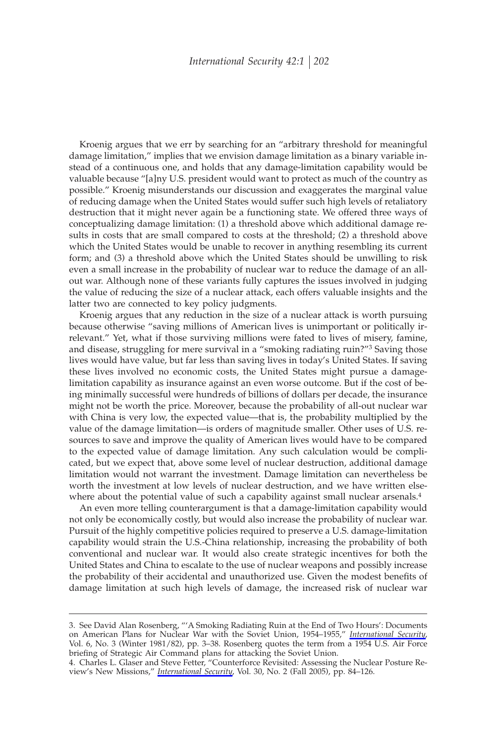Kroenig argues that we err by searching for an "arbitrary threshold for meaningful damage limitation," implies that we envision damage limitation as a binary variable instead of a continuous one, and holds that any damage-limitation capability would be valuable because "[a]ny U.S. president would want to protect as much of the country as possible." Kroenig misunderstands our discussion and exaggerates the marginal value of reducing damage when the United States would suffer such high levels of retaliatory destruction that it might never again be a functioning state. We offered three ways of conceptualizing damage limitation: (1) a threshold above which additional damage results in costs that are small compared to costs at the threshold; (2) a threshold above which the United States would be unable to recover in anything resembling its current form; and (3) a threshold above which the United States should be unwilling to risk even a small increase in the probability of nuclear war to reduce the damage of an allout war. Although none of these variants fully captures the issues involved in judging the value of reducing the size of a nuclear attack, each offers valuable insights and the latter two are connected to key policy judgments.

Kroenig argues that any reduction in the size of a nuclear attack is worth pursuing because otherwise "saving millions of American lives is unimportant or politically irrelevant." Yet, what if those surviving millions were fated to lives of misery, famine, and disease, struggling for mere survival in a "smoking radiating ruin?"<sup>3</sup> Saving those lives would have value, but far less than saving lives in today's United States. If saving these lives involved no economic costs, the United States might pursue a damagelimitation capability as insurance against an even worse outcome. But if the cost of being minimally successful were hundreds of billions of dollars per decade, the insurance might not be worth the price. Moreover, because the probability of all-out nuclear war with China is very low, the expected value—that is, the probability multiplied by the value of the damage limitation—is orders of magnitude smaller. Other uses of U.S. resources to save and improve the quality of American lives would have to be compared to the expected value of damage limitation. Any such calculation would be complicated, but we expect that, above some level of nuclear destruction, additional damage limitation would not warrant the investment. Damage limitation can nevertheless be worth the investment at low levels of nuclear destruction, and we have written elsewhere about the potential value of such a capability against small nuclear arsenals.<sup>4</sup>

An even more telling counterargument is that a damage-limitation capability would not only be economically costly, but would also increase the probability of nuclear war. Pursuit of the highly competitive policies required to preserve a U.S. damage-limitation capability would strain the U.S.-China relationship, increasing the probability of both conventional and nuclear war. It would also create strategic ince[ntives for both the](http://www.mitpressjournals.org/action/showLinks?doi=10.1162%2FISEC_c_00279&crossref=10.2307%2F2538605&citationId=p_n_78) United States and China to escalate to the use of nuclear weapons and possibly increase the probability of their accidental and unauthorized use. Given the modest benefits of damage limitation at [such high levels](http://www.mitpressjournals.org/action/showLinks?doi=10.1162%2FISEC_c_00279&system=10.1162%2F016228805775124552&citationId=p_n_81) of damage, the increased risk of nuclear war

<sup>3.</sup> See David Alan Rosenberg, "'A Smoking Radiating Ruin at the End of Two Hours': Documents on American Plans for Nuclear War with the Soviet Union, 1954–1955," *International Security*, Vol. 6, No. 3 (Winter 1981/82), pp. 3–38. Rosenberg quotes the term from a 1954 U.S. Air Force briefing of Strategic Air Command plans for attacking the Soviet Union.

<sup>4.</sup> Charles L. Glaser and Steve Fetter, "Counterforce Revisited: Assessing the Nuclear Posture Review's New Missions," *International Security*, Vol. 30, No. 2 (Fall 2005), pp. 84–126.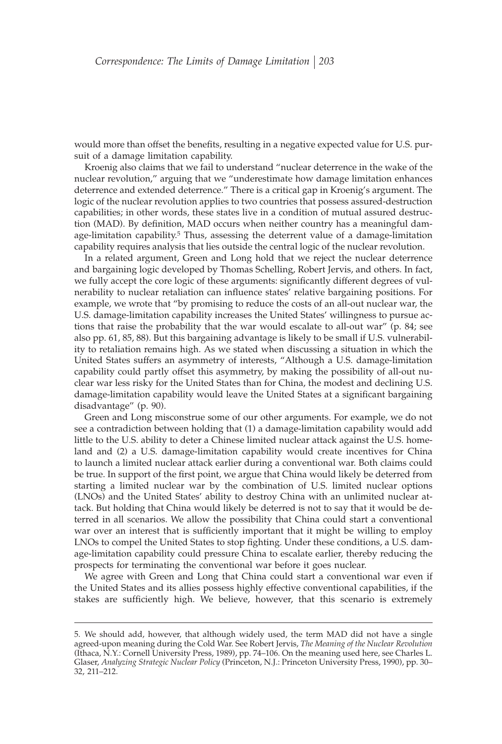would more than offset the benefits, resulting in a negative expected value for U.S. pursuit of a damage limitation capability.

Kroenig also claims that we fail to understand "nuclear deterrence in the wake of the nuclear revolution," arguing that we "underestimate how damage limitation enhances deterrence and extended deterrence." There is a critical gap in Kroenig's argument. The logic of the nuclear revolution applies to two countries that possess assured-destruction capabilities; in other words, these states live in a condition of mutual assured destruction (MAD). By definition, MAD occurs when neither country has a meaningful damage-limitation capability.<sup>5</sup> Thus, assessing the deterrent value of a damage-limitation capability requires analysis that lies outside the central logic of the nuclear revolution.

In a related argument, Green and Long hold that we reject the nuclear deterrence and bargaining logic developed by Thomas Schelling, Robert Jervis, and others. In fact, we fully accept the core logic of these arguments: significantly different degrees of vulnerability to nuclear retaliation can influence states' relative bargaining positions. For example, we wrote that "by promising to reduce the costs of an all-out nuclear war, the U.S. damage-limitation capability increases the United States' willingness to pursue actions that raise the probability that the war would escalate to all-out war" (p. 84; see also pp. 61, 85, 88). But this bargaining advantage is likely to be small if U.S. vulnerability to retaliation remains high. As we stated when discussing a situation in which the United States suffers an asymmetry of interests, "Although a U.S. damage-limitation capability could partly offset this asymmetry, by making the possibility of all-out nuclear war less risky for the United States than for China, the modest and declining U.S. damage-limitation capability would leave the United States at a significant bargaining disadvantage" (p. 90).

Green and Long misconstrue some of our other arguments. For example, we do not see a contradiction between holding that (1) a damage-limitation capability would add little to the U.S. ability to deter a Chinese limited nuclear attack against the U.S. homeland and (2) a U.S. damage-limitation capability would create incentives for China to launch a limited nuclear attack earlier during a conventional war. Both claims could be true. In support of the first point, we argue that China would likely be deterred from starting a limited nuclear war by the combination of U.S. limited nuclear options (LNOs) and the United States' ability to destroy China with an unlimited nuclear attack. But holding that China would likely be deterred is not to say that it would be deterred in all scenarios. We allow the possibility that China could start a conventional war over an interest that is sufficiently important that it might be willing to employ LNOs to compel the United States to stop fighting. Under these conditions, a U.S. damage-limitation capability could pressure China to escalate earlier, thereby reducing the prospects for terminating the conventional war before it goes nuclear.

We agree with Green and Long that China could start a conventional war even if the United States and its allies possess highly effective conventional capabilities, if the stakes are sufficiently high. We believe, however, that this scenario is extremely

<sup>5.</sup> We should add, however, that although widely used, the term MAD did not have a single agreed-upon meaning during the Cold War. See Robert Jervis, *The Meaning of the Nuclear Revolution* (Ithaca, N.Y.: Cornell University Press, 1989), pp. 74–106. On the meaning used here, see Charles L. Glaser, *Analyzing Strategic Nuclear Policy* (Princeton, N.J.: Princeton University Press, 1990), pp. 30– 32, 211–212.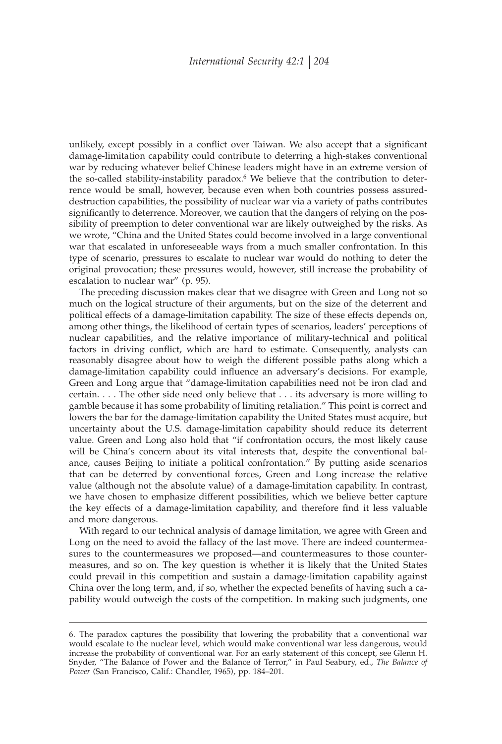unlikely, except possibly in a conflict over Taiwan. We also accept that a significant damage-limitation capability could contribute to deterring a high-stakes conventional war by reducing whatever belief Chinese leaders might have in an extreme version of the so-called stability-instability paradox.<sup>6</sup> We believe that the contribution to deterrence would be small, however, because even when both countries possess assureddestruction capabilities, the possibility of nuclear war via a variety of paths contributes significantly to deterrence. Moreover, we caution that the dangers of relying on the possibility of preemption to deter conventional war are likely outweighed by the risks. As we wrote, "China and the United States could become involved in a large conventional war that escalated in unforeseeable ways from a much smaller confrontation. In this type of scenario, pressures to escalate to nuclear war would do nothing to deter the original provocation; these pressures would, however, still increase the probability of escalation to nuclear war" (p. 95).

The preceding discussion makes clear that we disagree with Green and Long not so much on the logical structure of their arguments, but on the size of the deterrent and political effects of a damage-limitation capability. The size of these effects depends on, among other things, the likelihood of certain types of scenarios, leaders' perceptions of nuclear capabilities, and the relative importance of military-technical and political factors in driving conflict, which are hard to estimate. Consequently, analysts can reasonably disagree about how to weigh the different possible paths along which a damage-limitation capability could influence an adversary's decisions. For example, Green and Long argue that "damage-limitation capabilities need not be iron clad and certain. . . . The other side need only believe that . . . its adversary is more willing to gamble because it has some probability of limiting retaliation." This point is correct and lowers the bar for the damage-limitation capability the United States must acquire, but uncertainty about the U.S. damage-limitation capability should reduce its deterrent value. Green and Long also hold that "if confrontation occurs, the most likely cause will be China's concern about its vital interests that, despite the conventional balance, causes Beijing to initiate a political confrontation." By putting aside scenarios that can be deterred by conventional forces, Green and Long increase the relative value (although not the absolute value) of a damage-limitation capability. In contrast, we have chosen to emphasize different possibilities, which we believe better capture the key effects of a damage-limitation capability, and therefore find it less valuable and more dangerous.

With regard to our technical analysis of damage limitation, we agree with Green and Long on the need to avoid the fallacy of the last move. There are indeed countermeasures to the countermeasures we proposed—and countermeasures to those countermeasures, and so on. The key question is whether it is likely that the United States could prevail in this competition and sustain a damage-limitation capability against China over the long term, and, if so, whether the expected benefits of having such a capability would outweigh the costs of the competition. In making such judgments, one

<sup>6.</sup> The paradox captures the possibility that lowering the probability that a conventional war would escalate to the nuclear level, which would make conventional war less dangerous, would increase the probability of conventional war. For an early statement of this concept, see Glenn H. Snyder, "The Balance of Power and the Balance of Terror," in Paul Seabury, ed., *The Balance of Power* (San Francisco, Calif.: Chandler, 1965), pp. 184–201.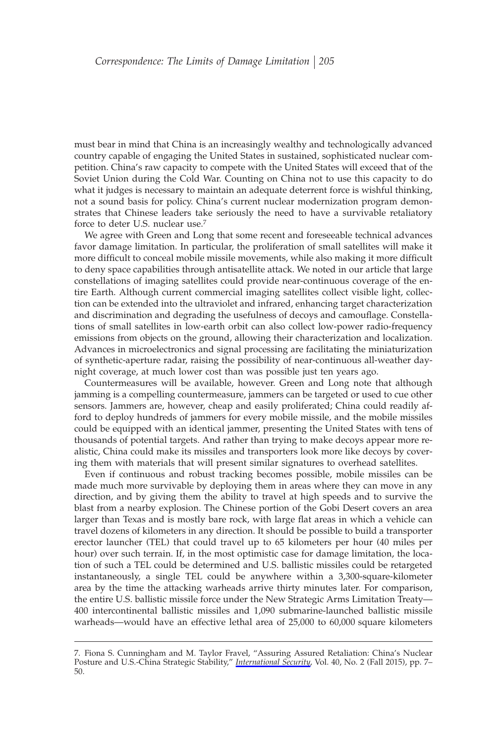must bear in mind that China is an increasingly wealthy and technologically advanced country capable of engaging the United States in sustained, sophisticated nuclear competition. China's raw capacity to compete with the United States will exceed that of the Soviet Union during the Cold War. Counting on China not to use this capacity to do what it judges is necessary to maintain an adequate deterrent force is wishful thinking, not a sound basis for policy. China's current nuclear modernization program demonstrates that Chinese leaders take seriously the need to have a survivable retaliatory force to deter U.S. nuclear use.7

We agree with Green and Long that some recent and foreseeable technical advances favor damage limitation. In particular, the proliferation of small satellites will make it more difficult to conceal mobile missile movements, while also making it more difficult to deny space capabilities through antisatellite attack. We noted in our article that large constellations of imaging satellites could provide near-continuous coverage of the entire Earth. Although current commercial imaging satellites collect visible light, collection can be extended into the ultraviolet and infrared, enhancing target characterization and discrimination and degrading the usefulness of decoys and camouflage. Constellations of small satellites in low-earth orbit can also collect low-power radio-frequency emissions from objects on the ground, allowing their characterization and localization. Advances in microelectronics and signal processing are facilitating the miniaturization of synthetic-aperture radar, raising the possibility of near-continuous all-weather daynight coverage, at much lower cost than was possible just ten years ago.

Countermeasures will be available, however. Green and Long note that although jamming is a compelling countermeasure, jammers can be targeted or used to cue other sensors. Jammers are, however, cheap and easily proliferated; China could readily afford to deploy hundreds of jammers for every mobile missile, and the mobile missiles could be equipped with an identical jammer, presenting the United States with tens of thousands of potential targets. And rather than trying to make decoys appear more realistic, China could make its missiles and transporters look more like decoys by covering them with materials that will present similar signatures to overhead satellites.

Even if continuous and robust tracking becomes possible, mobile missiles can be made much more survivable by deploying them in areas where they can move in any direction, and by giving them the ability to travel at high speeds and to survive the blast from a nearby explosion. The Chinese portion of the Gobi Desert covers an area larger than Texas and is mostly bare rock, with large flat areas in which a vehicle can travel dozens of kilometers in any direction. It should be possible to build a transporter erector launcher (TEL) that could travel up to 65 kilometers per hour (40 miles per hour) over such terrain. If, in the most optimistic case for damage limitation, the location of such a TEL could be determined and U.S. ballistic missiles could be retargeted instantaneously, a single TEL could be anywhere within a 3,300-square-kilometer area by the time the attacking warhe[ads arrive thirty m](http://www.mitpressjournals.org/action/showLinks?doi=10.1162%2FISEC_c_00279&system=10.1162%2FISEC_a_00215&citationId=p_n_90)inutes later. For comparison, the entire U.S. ballistic missile force under the New Strategic Arms Limitation Treaty— 400 intercontinental ballistic missiles and 1,090 submarine-launched ballistic missile warheads—would have an effective lethal area of 25,000 to 60,000 square kilometers

<sup>7.</sup> Fiona S. Cunningham and M. Taylor Fravel, "Assuring Assured Retaliation: China's Nuclear Posture and U.S.-China Strategic Stability," *International Security*, Vol. 40, No. 2 (Fall 2015), pp. 7– 50.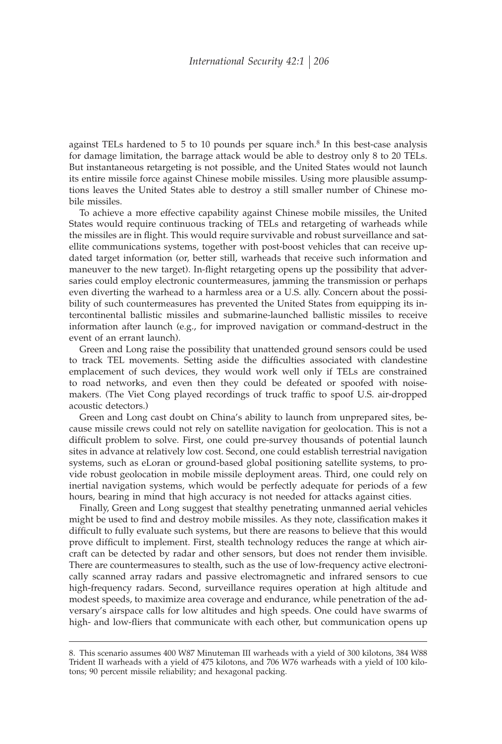against TELs hardened to  $5$  to  $10$  pounds per square inch. $8$  In this best-case analysis for damage limitation, the barrage attack would be able to destroy only 8 to 20 TELs. But instantaneous retargeting is not possible, and the United States would not launch its entire missile force against Chinese mobile missiles. Using more plausible assumptions leaves the United States able to destroy a still smaller number of Chinese mobile missiles.

To achieve a more effective capability against Chinese mobile missiles, the United States would require continuous tracking of TELs and retargeting of warheads while the missiles are in flight. This would require survivable and robust surveillance and satellite communications systems, together with post-boost vehicles that can receive updated target information (or, better still, warheads that receive such information and maneuver to the new target). In-flight retargeting opens up the possibility that adversaries could employ electronic countermeasures, jamming the transmission or perhaps even diverting the warhead to a harmless area or a U.S. ally. Concern about the possibility of such countermeasures has prevented the United States from equipping its intercontinental ballistic missiles and submarine-launched ballistic missiles to receive information after launch (e.g., for improved navigation or command-destruct in the event of an errant launch).

Green and Long raise the possibility that unattended ground sensors could be used to track TEL movements. Setting aside the difficulties associated with clandestine emplacement of such devices, they would work well only if TELs are constrained to road networks, and even then they could be defeated or spoofed with noisemakers. (The Viet Cong played recordings of truck traffic to spoof U.S. air-dropped acoustic detectors.)

Green and Long cast doubt on China's ability to launch from unprepared sites, because missile crews could not rely on satellite navigation for geolocation. This is not a difficult problem to solve. First, one could pre-survey thousands of potential launch sites in advance at relatively low cost. Second, one could establish terrestrial navigation systems, such as eLoran or ground-based global positioning satellite systems, to provide robust geolocation in mobile missile deployment areas. Third, one could rely on inertial navigation systems, which would be perfectly adequate for periods of a few hours, bearing in mind that high accuracy is not needed for attacks against cities.

Finally, Green and Long suggest that stealthy penetrating unmanned aerial vehicles might be used to find and destroy mobile missiles. As they note, classification makes it difficult to fully evaluate such systems, but there are reasons to believe that this would prove difficult to implement. First, stealth technology reduces the range at which aircraft can be detected by radar and other sensors, but does not render them invisible. There are countermeasures to stealth, such as the use of low-frequency active electronically scanned array radars and passive electromagnetic and infrared sensors to cue high-frequency radars. Second, surveillance requires operation at high altitude and modest speeds, to maximize area coverage and endurance, while penetration of the adversary's airspace calls for low altitudes and high speeds. One could have swarms of high- and low-fliers that communicate with each other, but communication opens up

<sup>8.</sup> This scenario assumes 400 W87 Minuteman III warheads with a yield of 300 kilotons, 384 W88 Trident II warheads with a yield of 475 kilotons, and 706 W76 warheads with a yield of 100 kilotons; 90 percent missile reliability; and hexagonal packing.